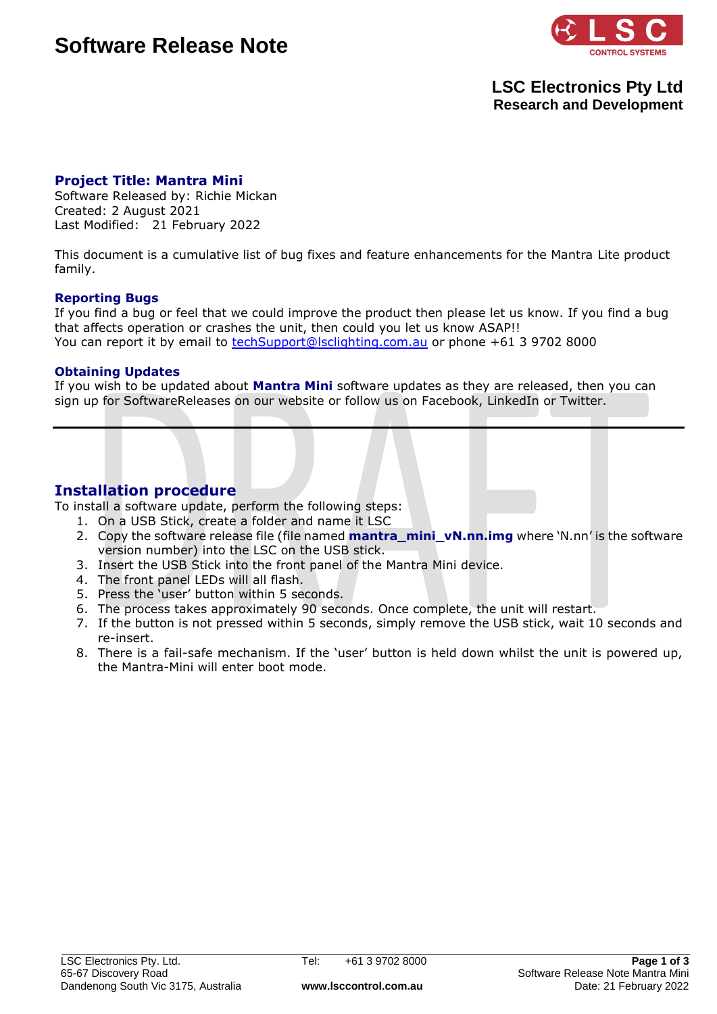# **Software Release Note**



## **LSC Electronics Pty Ltd Research and Development**

### **Project Title: Mantra Mini**

Software Released by: Richie Mickan Created: 2 August 2021 Last Modified: 21 February 2022

This document is a cumulative list of bug fixes and feature enhancements for the Mantra Lite product family.

#### **Reporting Bugs**

If you find a bug or feel that we could improve the product then please let us know. If you find a bug that affects operation or crashes the unit, then could you let us know ASAP!! You can report it by email to **techSupport@lsclighting.com.au** or phone +61 3 9702 8000

#### **Obtaining Updates**

If you wish to be updated about **Mantra Mini** software updates as they are released, then you can sign up for SoftwareReleases on our website or follow us on Facebook, LinkedIn or Twitter.

### **Installation procedure**

To install a software update, perform the following steps:

- 1. On a USB Stick, create a folder and name it LSC
- 2. Copy the software release file (file named **mantra\_mini\_vN.nn.img** where 'N.nn' is the software version number) into the LSC on the USB stick.
- 3. Insert the USB Stick into the front panel of the Mantra Mini device.
- 4. The front panel LEDs will all flash.
- 5. Press the 'user' button within 5 seconds.
- 6. The process takes approximately 90 seconds. Once complete, the unit will restart.
- 7. If the button is not pressed within 5 seconds, simply remove the USB stick, wait 10 seconds and re-insert.
- 8. There is a fail-safe mechanism. If the 'user' button is held down whilst the unit is powered up, the Mantra-Mini will enter boot mode.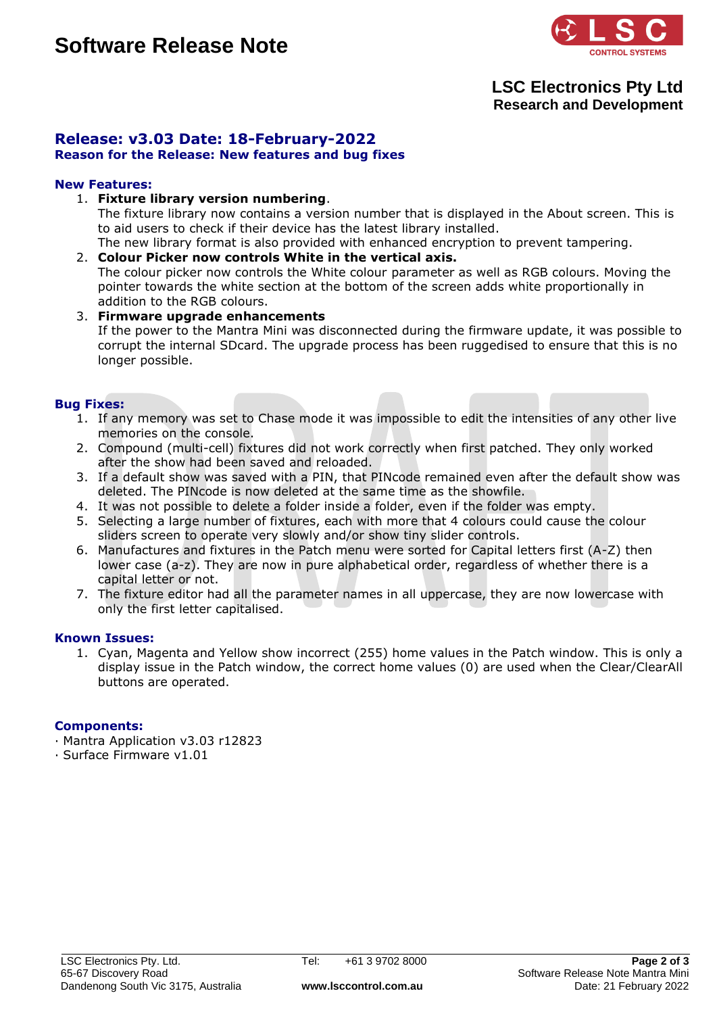

## **LSC Electronics Pty Ltd Research and Development**

## **Release: v3.03 Date: 18-February-2022**

#### **Reason for the Release: New features and bug fixes**

#### **New Features:**

1. **Fixture library version numbering**.

The fixture library now contains a version number that is displayed in the About screen. This is to aid users to check if their device has the latest library installed.

- The new library format is also provided with enhanced encryption to prevent tampering.
- 2. **Colour Picker now controls White in the vertical axis.** The colour picker now controls the White colour parameter as well as RGB colours. Moving the pointer towards the white section at the bottom of the screen adds white proportionally in addition to the RGB colours.
- 3. **Firmware upgrade enhancements** If the power to the Mantra Mini was disconnected during the firmware update, it was possible to corrupt the internal SDcard. The upgrade process has been ruggedised to ensure that this is no longer possible.

#### **Bug Fixes:**

- 1. If any memory was set to Chase mode it was impossible to edit the intensities of any other live memories on the console.
- 2. Compound (multi-cell) fixtures did not work correctly when first patched. They only worked after the show had been saved and reloaded.
- 3. If a default show was saved with a PIN, that PINcode remained even after the default show was deleted. The PINcode is now deleted at the same time as the showfile.
- 4. It was not possible to delete a folder inside a folder, even if the folder was empty.
- 5. Selecting a large number of fixtures, each with more that 4 colours could cause the colour sliders screen to operate very slowly and/or show tiny slider controls.
- 6. Manufactures and fixtures in the Patch menu were sorted for Capital letters first (A-Z) then lower case (a-z). They are now in pure alphabetical order, regardless of whether there is a capital letter or not.
- 7. The fixture editor had all the parameter names in all uppercase, they are now lowercase with only the first letter capitalised.

#### **Known Issues:**

1. Cyan, Magenta and Yellow show incorrect (255) home values in the Patch window. This is only a display issue in the Patch window, the correct home values (0) are used when the Clear/ClearAll buttons are operated.

#### **Components:**

· Mantra Application v3.03 r12823

· Surface Firmware v1.01